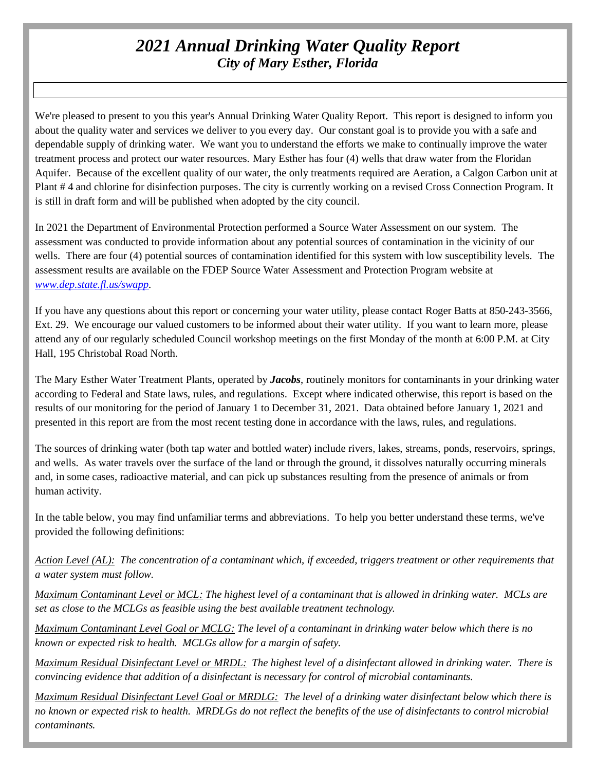# *2021 Annual Drinking Water Quality Report City of Mary Esther, Florida*

We're pleased to present to you this year's Annual Drinking Water Quality Report. This report is designed to inform you about the quality water and services we deliver to you every day. Our constant goal is to provide you with a safe and dependable supply of drinking water. We want you to understand the efforts we make to continually improve the water treatment process and protect our water resources. Mary Esther has four (4) wells that draw water from the Floridan Aquifer. Because of the excellent quality of our water, the only treatments required are Aeration, a Calgon Carbon unit at Plant # 4 and chlorine for disinfection purposes. The city is currently working on a revised Cross Connection Program. It is still in draft form and will be published when adopted by the city council.

In 2021 the Department of Environmental Protection performed a Source Water Assessment on our system. The assessment was conducted to provide information about any potential sources of contamination in the vicinity of our wells. There are four (4) potential sources of contamination identified for this system with low susceptibility levels. The assessment results are available on the FDEP Source Water Assessment and Protection Program website at *[www.dep.state.fl.us/swapp.](http://www.dep.state.fl.us/swapp)*

If you have any questions about this report or concerning your water utility, please contact Roger Batts at 850-243-3566, Ext. 29. We encourage our valued customers to be informed about their water utility. If you want to learn more, please attend any of our regularly scheduled Council workshop meetings on the first Monday of the month at 6:00 P.M. at City Hall, 195 Christobal Road North.

The Mary Esther Water Treatment Plants, operated by *Jacobs*, routinely monitors for contaminants in your drinking water according to Federal and State laws, rules, and regulations. Except where indicated otherwise, this report is based on the results of our monitoring for the period of January 1 to December 31, 2021. Data obtained before January 1, 2021 and presented in this report are from the most recent testing done in accordance with the laws, rules, and regulations.

The sources of drinking water (both tap water and bottled water) include rivers, lakes, streams, ponds, reservoirs, springs, and wells. As water travels over the surface of the land or through the ground, it dissolves naturally occurring minerals and, in some cases, radioactive material, and can pick up substances resulting from the presence of animals or from human activity.

In the table below, you may find unfamiliar terms and abbreviations. To help you better understand these terms, we've provided the following definitions:

*Action Level (AL): The concentration of a contaminant which, if exceeded, triggers treatment or other requirements that a water system must follow.*

*Maximum Contaminant Level or MCL: The highest level of a contaminant that is allowed in drinking water. MCLs are set as close to the MCLGs as feasible using the best available treatment technology.*

*Maximum Contaminant Level Goal or MCLG: The level of a contaminant in drinking water below which there is no known or expected risk to health. MCLGs allow for a margin of safety.*

*Maximum Residual Disinfectant Level or MRDL: The highest level of a disinfectant allowed in drinking water. There is convincing evidence that addition of a disinfectant is necessary for control of microbial contaminants.*

*Maximum Residual Disinfectant Level Goal or MRDLG: The level of a drinking water disinfectant below which there is no known or expected risk to health. MRDLGs do not reflect the benefits of the use of disinfectants to control microbial contaminants.*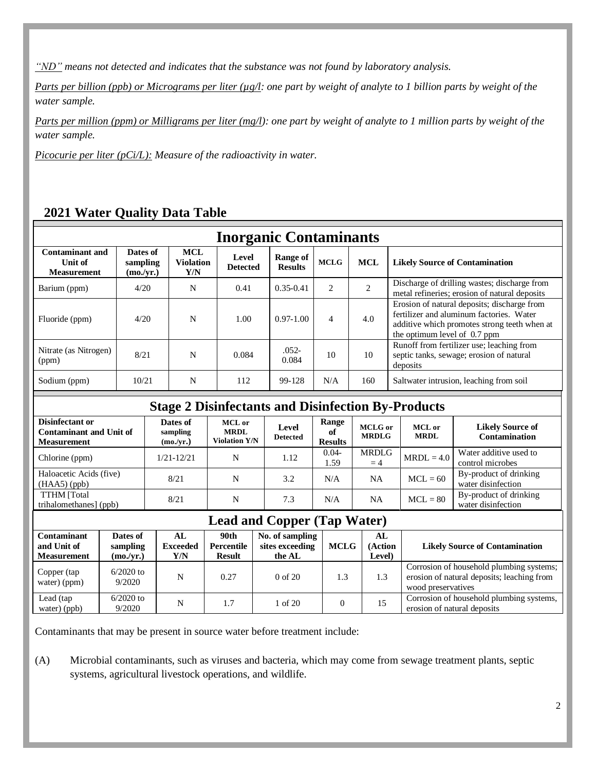*"ND" means not detected and indicates that the substance was not found by laboratory analysis.* 

*Parts per billion (ppb) or Micrograms per liter (µg/l: one part by weight of analyte to 1 billion parts by weight of the water sample.*

*Parts per million (ppm) or Milligrams per liter (mg/l): one part by weight of analyte to 1 million parts by weight of the water sample.*

*Picocurie per liter (pCi/L): Measure of the radioactivity in water.*

# **2021 Water Quality Data Table**

| <b>Inorganic Contaminants</b>                           |                                   |                                       |                          |                            |                               |                |                                                                                                                                                                         |  |
|---------------------------------------------------------|-----------------------------------|---------------------------------------|--------------------------|----------------------------|-------------------------------|----------------|-------------------------------------------------------------------------------------------------------------------------------------------------------------------------|--|
| <b>Contaminant and</b><br>Unit of<br><b>Measurement</b> | Dates of<br>sampling<br>(mo./yr.) | <b>MCL</b><br><b>Violation</b><br>Y/N | Level<br><b>Detected</b> | Range of<br><b>Results</b> | <b>MCLG</b>                   | <b>MCL</b>     | <b>Likely Source of Contamination</b>                                                                                                                                   |  |
| Barium (ppm)                                            | 4/20                              | N                                     | 0.41                     | $0.35 - 0.41$              | $\mathfrak{D}_{\mathfrak{p}}$ | $\mathfrak{D}$ | Discharge of drilling wastes; discharge from<br>metal refineries; erosion of natural deposits                                                                           |  |
| Fluoride (ppm)                                          | 4/20                              | N                                     | 1.00                     | $0.97 - 1.00$              | $\overline{4}$                | 4.0            | Erosion of natural deposits; discharge from<br>fertilizer and aluminum factories. Water<br>additive which promotes strong teeth when at<br>the optimum level of 0.7 ppm |  |
| Nitrate (as Nitrogen)<br>(ppm)                          | 8/21                              | N                                     | 0.084                    | $.052 -$<br>0.084          | 10                            | 10             | Runoff from fertilizer use; leaching from<br>septic tanks, sewage; erosion of natural<br>deposits                                                                       |  |
| Sodium (ppm)                                            | 10/21                             | N                                     | 112                      | 99-128                     | N/A                           | 160            | Saltwater intrusion, leaching from soil                                                                                                                                 |  |
|                                                         |                                   |                                       |                          |                            |                               |                |                                                                                                                                                                         |  |

#### **Stage 2 Disinfectants and Disinfection By-Products**

| Disinfectant or<br><b>Contaminant and Unit of</b><br><b>Measurement</b> | Dates of<br>sampling<br>(mo./yr.) | <b>MCL</b> or<br><b>MRDL</b><br><b>Violation Y/N</b> | Level<br><b>Detected</b> | Range<br>оf<br><b>Results</b> | MCLG or<br><b>MRDLG</b> | MCL or<br><b>MRDL</b> | <b>Likely Source of</b><br><b>Contamination</b> |
|-------------------------------------------------------------------------|-----------------------------------|------------------------------------------------------|--------------------------|-------------------------------|-------------------------|-----------------------|-------------------------------------------------|
| Chlorine (ppm)                                                          | $1/21 - 12/21$                    | N                                                    | 1.12                     | $0.04 -$<br>1.59              | <b>MRDLG</b><br>$=4$    | $MRDL = 4.0$          | Water additive used to<br>control microbes      |
| Haloacetic Acids (five)<br>$(HAA5)$ (ppb)                               | 8/21                              | N                                                    | 3.2                      | N/A                           | <b>NA</b>               | $MCL = 60$            | By-product of drinking<br>water disinfection    |
| <b>TTHM</b> [Total<br>trihalomethanes] (ppb)                            | 8/21                              | N                                                    | 7.3                      | N/A                           | NA                      | $MCL = 80$            | By-product of drinking<br>water disinfection    |

## **Lead and Copper (Tap Water)**

| <b>Contaminant</b><br>and Unit of<br><b>Measurement</b> | Dates of<br>sampling<br>(mo./yr.) | AL.<br><b>Exceeded</b><br>Y/N | 90th<br>Percentile<br>Result | No. of sampling<br>sites exceeding<br>the AL | <b>MCLG</b> | AL<br>(Action<br>Level) | <b>Likely Source of Contamination</b>                                                                        |
|---------------------------------------------------------|-----------------------------------|-------------------------------|------------------------------|----------------------------------------------|-------------|-------------------------|--------------------------------------------------------------------------------------------------------------|
| Copper (tap<br>water) (ppm)                             | $6/2020$ to<br>9/2020             | N                             | 0.27                         | $0 \text{ of } 20$                           | 1.3         | 1.3                     | Corrosion of household plumbing systems;<br>erosion of natural deposits; leaching from<br>wood preservatives |
| Lead (tap<br>water) (ppb)                               | $6/2020$ to<br>9/2020             | N                             |                              | of $20$                                      | 0           | 15                      | Corrosion of household plumbing systems,<br>erosion of natural deposits                                      |

Contaminants that may be present in source water before treatment include:

(A) Microbial contaminants, such as viruses and bacteria, which may come from sewage treatment plants, septic systems, agricultural livestock operations, and wildlife.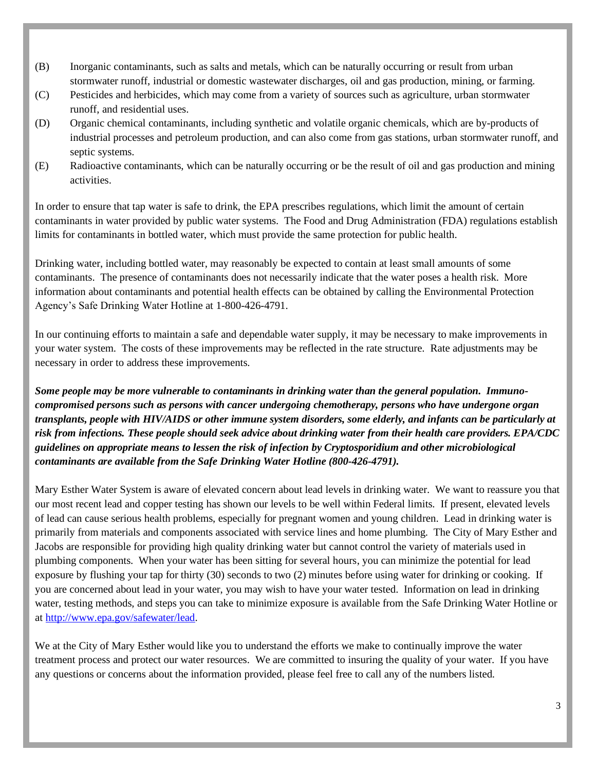- (B) Inorganic contaminants, such as salts and metals, which can be naturally occurring or result from urban stormwater runoff, industrial or domestic wastewater discharges, oil and gas production, mining, or farming.
- (C) Pesticides and herbicides, which may come from a variety of sources such as agriculture, urban stormwater runoff, and residential uses.
- (D) Organic chemical contaminants, including synthetic and volatile organic chemicals, which are by-products of industrial processes and petroleum production, and can also come from gas stations, urban stormwater runoff, and septic systems.
- (E) Radioactive contaminants, which can be naturally occurring or be the result of oil and gas production and mining activities.

In order to ensure that tap water is safe to drink, the EPA prescribes regulations, which limit the amount of certain contaminants in water provided by public water systems. The Food and Drug Administration (FDA) regulations establish limits for contaminants in bottled water, which must provide the same protection for public health.

Drinking water, including bottled water, may reasonably be expected to contain at least small amounts of some contaminants. The presence of contaminants does not necessarily indicate that the water poses a health risk. More information about contaminants and potential health effects can be obtained by calling the Environmental Protection Agency's Safe Drinking Water Hotline at 1-800-426-4791.

In our continuing efforts to maintain a safe and dependable water supply, it may be necessary to make improvements in your water system. The costs of these improvements may be reflected in the rate structure. Rate adjustments may be necessary in order to address these improvements.

*Some people may be more vulnerable to contaminants in drinking water than the general population. Immunocompromised persons such as persons with cancer undergoing chemotherapy, persons who have undergone organ transplants, people with HIV/AIDS or other immune system disorders, some elderly, and infants can be particularly at risk from infections. These people should seek advice about drinking water from their health care providers. EPA/CDC guidelines on appropriate means to lessen the risk of infection by Cryptosporidium and other microbiological contaminants are available from the Safe Drinking Water Hotline (800-426-4791).* 

Mary Esther Water System is aware of elevated concern about lead levels in drinking water. We want to reassure you that our most recent lead and copper testing has shown our levels to be well within Federal limits. If present, elevated levels of lead can cause serious health problems, especially for pregnant women and young children. Lead in drinking water is primarily from materials and components associated with service lines and home plumbing. The City of Mary Esther and Jacobs are responsible for providing high quality drinking water but cannot control the variety of materials used in plumbing components. When your water has been sitting for several hours, you can minimize the potential for lead exposure by flushing your tap for thirty (30) seconds to two (2) minutes before using water for drinking or cooking. If you are concerned about lead in your water, you may wish to have your water tested. Information on lead in drinking water, testing methods, and steps you can take to minimize exposure is available from the Safe Drinking Water Hotline or at [http://www.epa.gov/safewater/lead.](http://www.epa.gov/safewater/lead)

We at the City of Mary Esther would like you to understand the efforts we make to continually improve the water treatment process and protect our water resources. We are committed to insuring the quality of your water. If you have any questions or concerns about the information provided, please feel free to call any of the numbers listed.